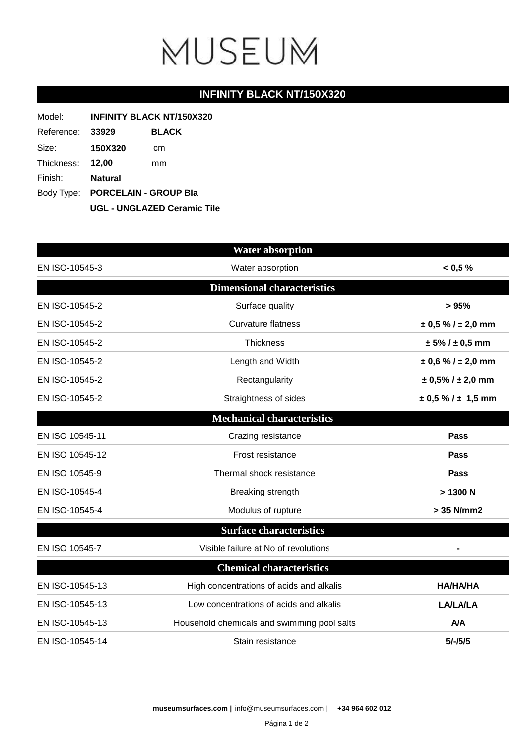# MUSEUM

### **INFINITY BLACK NT/150X320**

| Model:     | <b>INFINITY BLACK NT/150X320</b>                                       |              |  |
|------------|------------------------------------------------------------------------|--------------|--|
| Reference: | 33929                                                                  | <b>BLACK</b> |  |
| Size:      | <b>150X320</b>                                                         | cm           |  |
| Thickness: | 12,00                                                                  | mm           |  |
| Finish:    | Natural                                                                |              |  |
|            | Body Type: PORCELAIN - GROUP Bla<br><b>UGL - UNGLAZED Ceramic Tile</b> |              |  |
|            |                                                                        |              |  |

|                 | <b>Water absorption</b>                                    |                            |
|-----------------|------------------------------------------------------------|----------------------------|
| EN ISO-10545-3  | Water absorption                                           | < 0.5 %                    |
|                 | <b>Dimensional characteristics</b>                         |                            |
| EN ISO-10545-2  | Surface quality                                            | > 95%                      |
| EN ISO-10545-2  | <b>Curvature flatness</b>                                  | $\pm$ 0,5 % / $\pm$ 2,0 mm |
| EN ISO-10545-2  | Thickness                                                  | $± 5\% / ± 0.5$ mm         |
| EN ISO-10545-2  | Length and Width                                           | $\pm$ 0,6 % / $\pm$ 2,0 mm |
| EN ISO-10545-2  | Rectangularity                                             | $± 0,5\%$ / $± 2,0$ mm     |
| EN ISO-10545-2  | Straightness of sides                                      | $\pm$ 0,5 % / $\pm$ 1,5 mm |
|                 | <b>Mechanical characteristics</b>                          |                            |
| EN ISO 10545-11 | Crazing resistance                                         | Pass                       |
| EN ISO 10545-12 | Frost resistance                                           | Pass                       |
| EN ISO 10545-9  | Thermal shock resistance                                   | Pass                       |
| EN ISO-10545-4  | Breaking strength                                          | > 1300 N                   |
| EN ISO-10545-4  | Modulus of rupture                                         | > 35 N/mm2                 |
|                 | <b>Surface characteristics</b>                             |                            |
| EN ISO 10545-7  | Visible failure at No of revolutions                       |                            |
|                 | <b>Chemical characteristics</b>                            |                            |
| EN ISO-10545-13 | High concentrations of acids and alkalis                   | <b>HA/HA/HA</b>            |
| EN ISO-10545-13 | Low concentrations of acids and alkalis<br><b>LA/LA/LA</b> |                            |
| EN ISO-10545-13 | Household chemicals and swimming pool salts<br><b>A/A</b>  |                            |
| EN ISO-10545-14 | Stain resistance                                           | $5/-/5/5$                  |